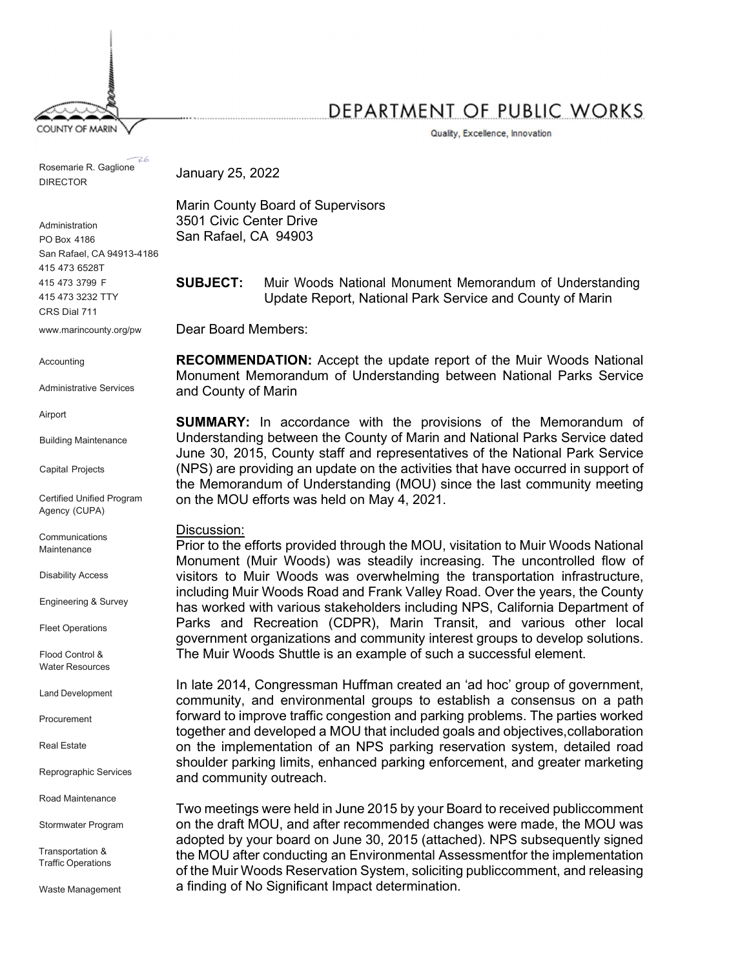**COUNTY OF MARIN** 

DEPARTMENT OF PUBLIC WORKS

Quality, Excellence, Innovation

Rosemarie R. Gaglione DIRECTOR

Administration PO Box 4186 San Rafael, CA 94913-4186 415 473 6528T 415 473 3799 F CRS Dial 711 www.marincounty.org/pw

Accounting

Administrative Services

Airport

Building Maintenance

Capital Projects

Certified Unified Program Agency (CUPA)

Communications **Maintenance** 

Disability Access

Engineering & Survey

Fleet Operations

Flood Control & Water Resources

Land Development

Procurement

Real Estate

Reprographic Services

Road Maintenance

Stormwater Program

Transportation & Traffic Operations

Waste Management

January 25, 2022

Marin County Board of Supervisors 3501 Civic Center Drive San Rafael, CA 94903

415 473 3232 TTY Update Report, National Park Service and County of Marin SUBJECT: Muir Woods National Monument Memorandum of Understanding

Dear Board Members:

RECOMMENDATION: Accept the update report of the Muir Woods National Monument Memorandum of Understanding between National Parks Service and County of Marin

SUMMARY: In accordance with the provisions of the Memorandum of Understanding between the County of Marin and National Parks Service dated June 30, 2015, County staff and representatives of the National Park Service (NPS) are providing an update on the activities that have occurred in support of the Memorandum of Understanding (MOU) since the last community meeting on the MOU efforts was held on May 4, 2021.

#### Discussion:

Prior to the efforts provided through the MOU, visitation to Muir Woods National Monument (Muir Woods) was steadily increasing. The uncontrolled flow of visitors to Muir Woods was overwhelming the transportation infrastructure, including Muir Woods Road and Frank Valley Road. Over the years, the County has worked with various stakeholders including NPS, California Department of Parks and Recreation (CDPR), Marin Transit, and various other local government organizations and community interest groups to develop solutions. The Muir Woods Shuttle is an example of such a successful element.

In late 2014, Congressman Huffman created an 'ad hoc' group of government, community, and environmental groups to establish a consensus on a path forward to improve traffic congestion and parking problems. The parties worked together and developed a MOU that included goals and objectives, collaboration on the implementation of an NPS parking reservation system, detailed road shoulder parking limits, enhanced parking enforcement, and greater marketing and community outreach.

Two meetings were held in June 2015 by your Board to received public comment on the draft MOU, and after recommended changes were made, the MOU was adopted by your board on June 30, 2015 (attached). NPS subsequently signed the MOU after conducting an Environmental Assessment for the implementation of the Muir Woods Reservation System, soliciting public comment, and releasing a finding of No Significant Impact determination.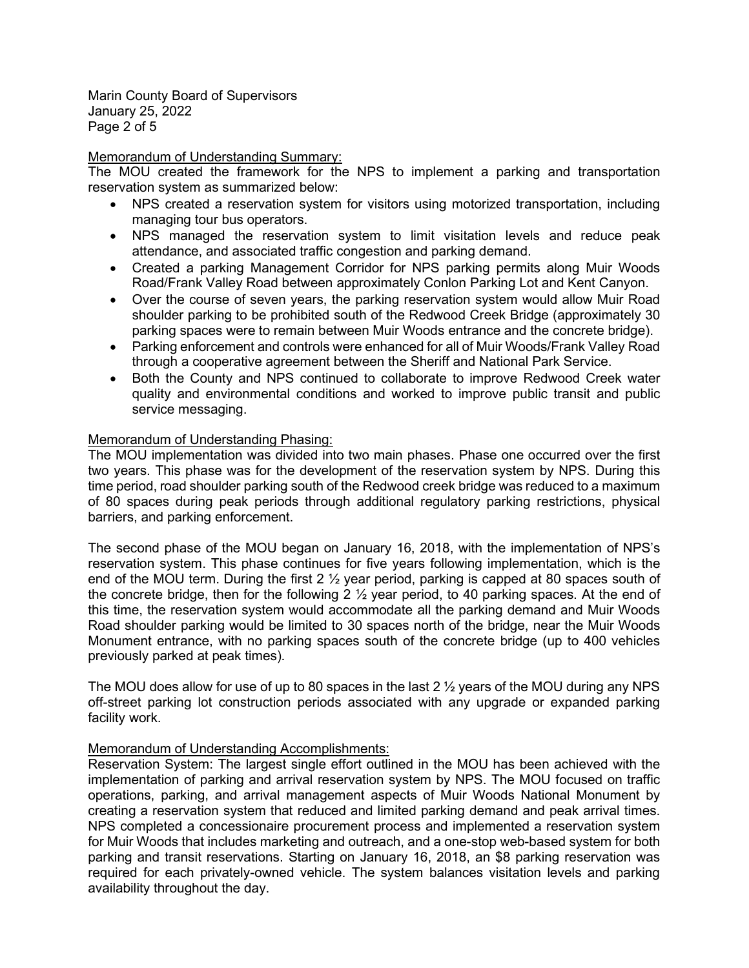Marin County Board of Supervisors January 25, 2022 Page 2 of 5

# Memorandum of Understanding Summary:

The MOU created the framework for the NPS to implement a parking and transportation reservation system as summarized below:

- NPS created a reservation system for visitors using motorized transportation, including managing tour bus operators.
- NPS managed the reservation system to limit visitation levels and reduce peak attendance, and associated traffic congestion and parking demand.
- Created a parking Management Corridor for NPS parking permits along Muir Woods Road/Frank Valley Road between approximately Conlon Parking Lot and Kent Canyon.
- Over the course of seven years, the parking reservation system would allow Muir Road shoulder parking to be prohibited south of the Redwood Creek Bridge (approximately 30 parking spaces were to remain between Muir Woods entrance and the concrete bridge).
- Parking enforcement and controls were enhanced for all of Muir Woods/Frank Valley Road through a cooperative agreement between the Sheriff and National Park Service.
- Both the County and NPS continued to collaborate to improve Redwood Creek water quality and environmental conditions and worked to improve public transit and public service messaging.

# Memorandum of Understanding Phasing:

The MOU implementation was divided into two main phases. Phase one occurred over the first two years. This phase was for the development of the reservation system by NPS. During this time period, road shoulder parking south of the Redwood creek bridge was reduced to a maximum of 80 spaces during peak periods through additional regulatory parking restrictions, physical barriers, and parking enforcement.

The second phase of the MOU began on January 16, 2018, with the implementation of NPS's reservation system. This phase continues for five years following implementation, which is the end of the MOU term. During the first 2 ½ year period, parking is capped at 80 spaces south of the concrete bridge, then for the following 2 ½ year period, to 40 parking spaces. At the end of this time, the reservation system would accommodate all the parking demand and Muir Woods Road shoulder parking would be limited to 30 spaces north of the bridge, near the Muir Woods Monument entrance, with no parking spaces south of the concrete bridge (up to 400 vehicles previously parked at peak times).

The MOU does allow for use of up to 80 spaces in the last  $2\frac{1}{2}$  years of the MOU during any NPS off-street parking lot construction periods associated with any upgrade or expanded parking facility work.

# Memorandum of Understanding Accomplishments:

Reservation System: The largest single effort outlined in the MOU has been achieved with the implementation of parking and arrival reservation system by NPS. The MOU focused on traffic operations, parking, and arrival management aspects of Muir Woods National Monument by creating a reservation system that reduced and limited parking demand and peak arrival times. NPS completed a concessionaire procurement process and implemented a reservation system for Muir Woods that includes marketing and outreach, and a one-stop web-based system for both parking and transit reservations. Starting on January 16, 2018, an \$8 parking reservation was required for each privately-owned vehicle. The system balances visitation levels and parking availability throughout the day.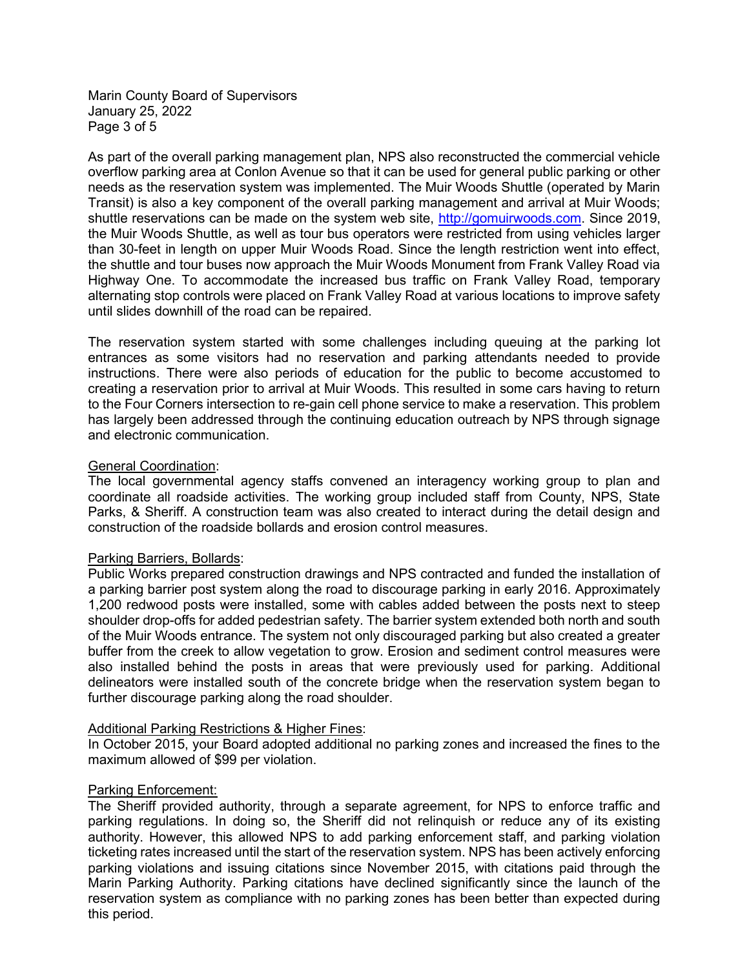Marin County Board of Supervisors January 25, 2022 Page 3 of 5

As part of the overall parking management plan, NPS also reconstructed the commercial vehicle overflow parking area at Conlon Avenue so that it can be used for general public parking or other needs as the reservation system was implemented. The Muir Woods Shuttle (operated by Marin Transit) is also a key component of the overall parking management and arrival at Muir Woods; shuttle reservations can be made on the system web site, http://gomuirwoods.com. Since 2019, the Muir Woods Shuttle, as well as tour bus operators were restricted from using vehicles larger than 30-feet in length on upper Muir Woods Road. Since the length restriction went into effect, the shuttle and tour buses now approach the Muir Woods Monument from Frank Valley Road via Highway One. To accommodate the increased bus traffic on Frank Valley Road, temporary alternating stop controls were placed on Frank Valley Road at various locations to improve safety until slides downhill of the road can be repaired.

The reservation system started with some challenges including queuing at the parking lot entrances as some visitors had no reservation and parking attendants needed to provide instructions. There were also periods of education for the public to become accustomed to creating a reservation prior to arrival at Muir Woods. This resulted in some cars having to return to the Four Corners intersection to re-gain cell phone service to make a reservation. This problem has largely been addressed through the continuing education outreach by NPS through signage and electronic communication.

# General Coordination:

The local governmental agency staffs convened an interagency working group to plan and coordinate all roadside activities. The working group included staff from County, NPS, State Parks, & Sheriff. A construction team was also created to interact during the detail design and construction of the roadside bollards and erosion control measures.

# Parking Barriers, Bollards:

Public Works prepared construction drawings and NPS contracted and funded the installation of a parking barrier post system along the road to discourage parking in early 2016. Approximately 1,200 redwood posts were installed, some with cables added between the posts next to steep shoulder drop-offs for added pedestrian safety. The barrier system extended both north and south of the Muir Woods entrance. The system not only discouraged parking but also created a greater buffer from the creek to allow vegetation to grow. Erosion and sediment control measures were also installed behind the posts in areas that were previously used for parking. Additional delineators were installed south of the concrete bridge when the reservation system began to further discourage parking along the road shoulder.

# Additional Parking Restrictions & Higher Fines:

In October 2015, your Board adopted additional no parking zones and increased the fines to the maximum allowed of \$99 per violation.

# Parking Enforcement:

The Sheriff provided authority, through a separate agreement, for NPS to enforce traffic and parking regulations. In doing so, the Sheriff did not relinquish or reduce any of its existing authority. However, this allowed NPS to add parking enforcement staff, and parking violation ticketing rates increased until the start of the reservation system. NPS has been actively enforcing parking violations and issuing citations since November 2015, with citations paid through the Marin Parking Authority. Parking citations have declined significantly since the launch of the reservation system as compliance with no parking zones has been better than expected during this period.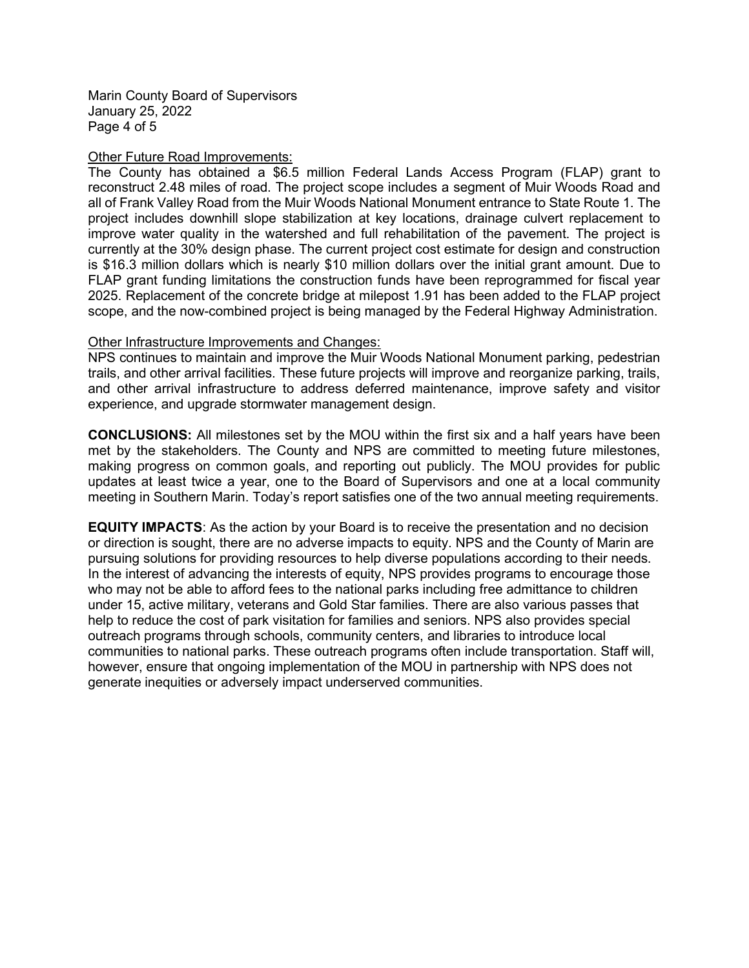Marin County Board of Supervisors January 25, 2022 Page 4 of 5

#### Other Future Road Improvements:

The County has obtained a \$6.5 million Federal Lands Access Program (FLAP) grant to reconstruct 2.48 miles of road. The project scope includes a segment of Muir Woods Road and all of Frank Valley Road from the Muir Woods National Monument entrance to State Route 1. The project includes downhill slope stabilization at key locations, drainage culvert replacement to improve water quality in the watershed and full rehabilitation of the pavement. The project is currently at the 30% design phase. The current project cost estimate for design and construction is \$16.3 million dollars which is nearly \$10 million dollars over the initial grant amount. Due to FLAP grant funding limitations the construction funds have been reprogrammed for fiscal year 2025. Replacement of the concrete bridge at milepost 1.91 has been added to the FLAP project scope, and the now-combined project is being managed by the Federal Highway Administration.

#### Other Infrastructure Improvements and Changes:

NPS continues to maintain and improve the Muir Woods National Monument parking, pedestrian trails, and other arrival facilities. These future projects will improve and reorganize parking, trails, and other arrival infrastructure to address deferred maintenance, improve safety and visitor experience, and upgrade stormwater management design.

CONCLUSIONS: All milestones set by the MOU within the first six and a half years have been met by the stakeholders. The County and NPS are committed to meeting future milestones, making progress on common goals, and reporting out publicly. The MOU provides for public updates at least twice a year, one to the Board of Supervisors and one at a local community meeting in Southern Marin. Today's report satisfies one of the two annual meeting requirements.

EQUITY IMPACTS: As the action by your Board is to receive the presentation and no decision or direction is sought, there are no adverse impacts to equity. NPS and the County of Marin are pursuing solutions for providing resources to help diverse populations according to their needs. In the interest of advancing the interests of equity, NPS provides programs to encourage those who may not be able to afford fees to the national parks including free admittance to children under 15, active military, veterans and Gold Star families. There are also various passes that help to reduce the cost of park visitation for families and seniors. NPS also provides special outreach programs through schools, community centers, and libraries to introduce local communities to national parks. These outreach programs often include transportation. Staff will, however, ensure that ongoing implementation of the MOU in partnership with NPS does not generate inequities or adversely impact underserved communities.